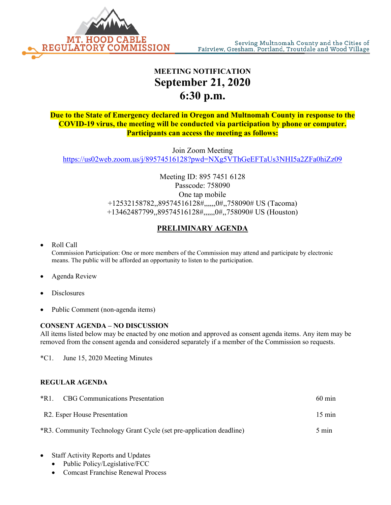

## **MEETING NOTIFICATION September 21, 2020 6:30 p.m.**

**Due to the State of Emergency declared in Oregon and Multnomah County in response to the COVID-19 virus, the meeting will be conducted via participation by phone or computer. Participants can access the meeting as follows:**

Join Zoom Meeting <https://us02web.zoom.us/j/89574516128?pwd=NXg5VThGeEFTaUs3NHI5a2ZFa0hiZz09>

> Meeting ID: 895 7451 6128 Passcode: 758090 One tap mobile +12532158782,,89574516128#,,,,,,0#,,758090# US (Tacoma) +13462487799,,89574516128#,,,,,,0#,,758090# US (Houston)

## **PRELIMINARY AGENDA**

• Roll Call

Commission Participation: One or more members of the Commission may attend and participate by electronic means. The public will be afforded an opportunity to listen to the participation.

- Agenda Review
- **Disclosures**
- Public Comment (non-agenda items)

## **CONSENT AGENDA – NO DISCUSSION**

All items listed below may be enacted by one motion and approved as consent agenda items. Any item may be removed from the consent agenda and considered separately if a member of the Commission so requests.

\*C1. June 15, 2020 Meeting Minutes

## **REGULAR AGENDA**

| $*R1$ .<br><b>CBG</b> Communications Presentation                    | $60 \text{ min}$ |
|----------------------------------------------------------------------|------------------|
| R2. Esper House Presentation                                         | $15 \text{ min}$ |
| *R3. Community Technology Grant Cycle (set pre-application deadline) | 5 min            |

- Staff Activity Reports and Updates
	- Public Policy/Legislative/FCC
	- Comcast Franchise Renewal Process